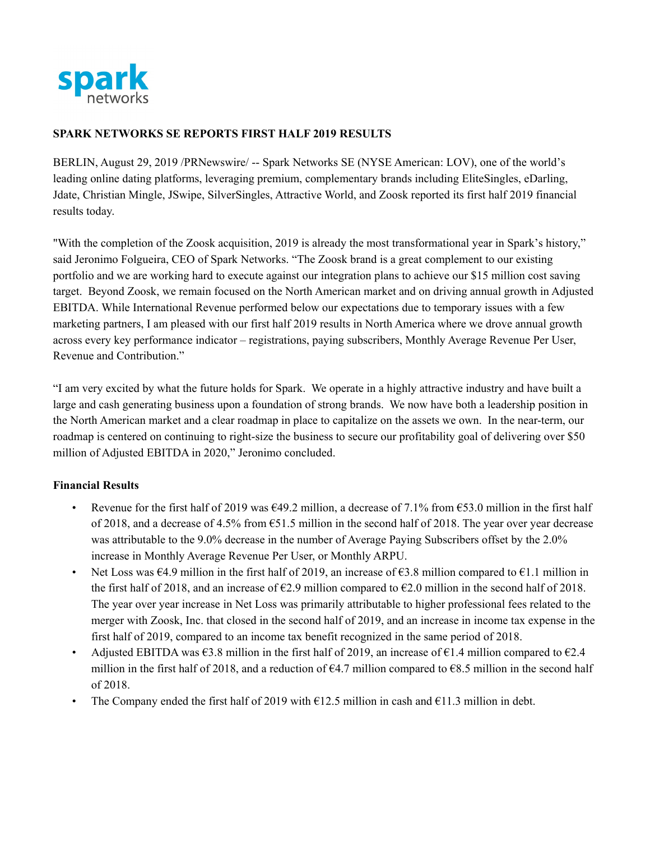

#### **SPARK NETWORKS SE REPORTS FIRST HALF 2019 RESULTS**

BERLIN, August 29, 2019 /PRNewswire/ -- Spark Networks SE (NYSE American: LOV), one of the world's leading online dating platforms, leveraging premium, complementary brands including EliteSingles, eDarling, Jdate, Christian Mingle, JSwipe, SilverSingles, Attractive World, and Zoosk reported its first half 2019 financial results today.

"With the completion of the Zoosk acquisition, 2019 is already the most transformational year in Spark's history," said Jeronimo Folgueira, CEO of Spark Networks. "The Zoosk brand is a great complement to our existing portfolio and we are working hard to execute against our integration plans to achieve our \$15 million cost saving target. Beyond Zoosk, we remain focused on the North American market and on driving annual growth in Adjusted EBITDA. While International Revenue performed below our expectations due to temporary issues with a few marketing partners, I am pleased with our first half 2019 results in North America where we drove annual growth across every key performance indicator – registrations, paying subscribers, Monthly Average Revenue Per User, Revenue and Contribution."

"I am very excited by what the future holds for Spark. We operate in a highly attractive industry and have built a large and cash generating business upon a foundation of strong brands. We now have both a leadership position in the North American market and a clear roadmap in place to capitalize on the assets we own. In the near-term, our roadmap is centered on continuing to right-size the business to secure our profitability goal of delivering over \$50 million of Adjusted EBITDA in 2020," Jeronimo concluded.

#### **Financial Results**

- Revenue for the first half of 2019 was  $\epsilon$ 49.2 million, a decrease of 7.1% from  $\epsilon$ 53.0 million in the first half of 2018, and a decrease of 4.5% from  $\epsilon$ 51.5 million in the second half of 2018. The year over year decrease was attributable to the 9.0% decrease in the number of Average Paying Subscribers offset by the 2.0% increase in Monthly Average Revenue Per User, or Monthly ARPU.
- Net Loss was  $64.9$  million in the first half of 2019, an increase of  $63.8$  million compared to  $61.1$  million in the first half of 2018, and an increase of  $\epsilon$ 2.9 million compared to  $\epsilon$ 2.0 million in the second half of 2018. The year over year increase in Net Loss was primarily attributable to higher professional fees related to the merger with Zoosk, Inc. that closed in the second half of 2019, and an increase in income tax expense in the first half of 2019, compared to an income tax benefit recognized in the same period of 2018.
- Adjusted EBITDA was  $\epsilon$ 3.8 million in the first half of 2019, an increase of  $\epsilon$ 1.4 million compared to  $\epsilon$ 2.4 million in the first half of 2018, and a reduction of  $\epsilon$ 4.7 million compared to  $\epsilon$ 8.5 million in the second half of 2018.
- The Company ended the first half of 2019 with  $\epsilon$ 12.5 million in cash and  $\epsilon$ 11.3 million in debt.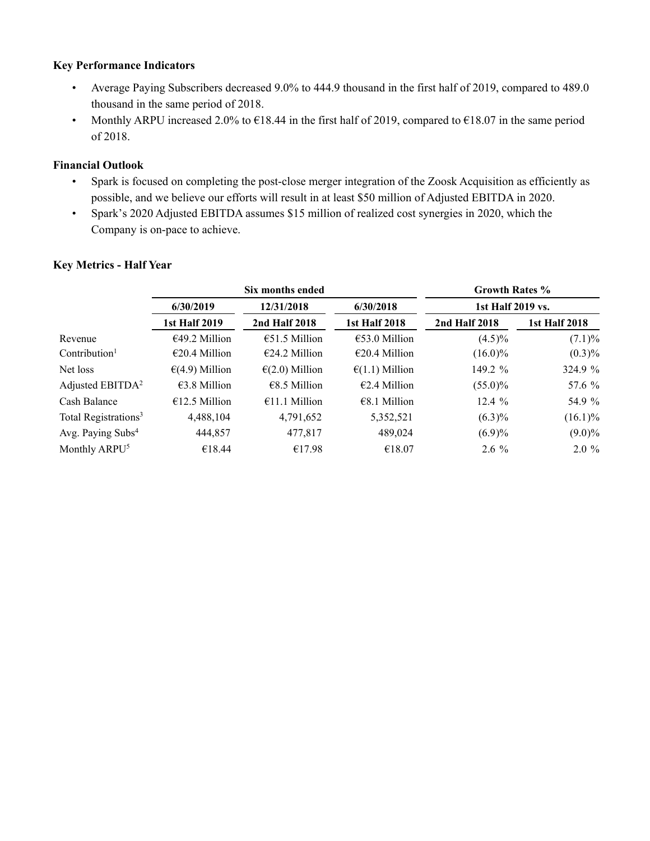#### **Key Performance Indicators**

- Average Paying Subscribers decreased 9.0% to 444.9 thousand in the first half of 2019, compared to 489.0 thousand in the same period of 2018.
- Monthly ARPU increased 2.0% to  $\epsilon$ 18.44 in the first half of 2019, compared to  $\epsilon$ 18.07 in the same period of 2018.

### **Financial Outlook**

- Spark is focused on completing the post-close merger integration of the Zoosk Acquisition as efficiently as possible, and we believe our efforts will result in at least \$50 million of Adjusted EBITDA in 2020.
- Spark's 2020 Adjusted EBITDA assumes \$15 million of realized cost synergies in 2020, which the Company is on-pace to achieve.

#### **Key Metrics - Half Year**

|                                  | Six months ended         |                          |                         | <b>Growth Rates %</b> |                      |  |
|----------------------------------|--------------------------|--------------------------|-------------------------|-----------------------|----------------------|--|
|                                  | 6/30/2019                | 12/31/2018               | 6/30/2018               | 1st Half 2019 vs.     |                      |  |
|                                  | <b>1st Half 2019</b>     | 2nd Half 2018            | <b>1st Half 2018</b>    | 2nd Half 2018         | <b>1st Half 2018</b> |  |
| Revenue                          | €49.2 Million            | $€51.5$ Million          | $€53.0$ Million         | $(4.5)\%$             | (7.1)%               |  |
| Contribution <sup>1</sup>        | $\epsilon$ 20.4 Million  | $E24.2$ Million          | $\epsilon$ 20.4 Million | $(16.0)\%$            | $(0.3)\%$            |  |
| Net loss                         | $\epsilon$ (4.9) Million | $\epsilon$ (2.0) Million | $\epsilon(1.1)$ Million | 149.2 %               | 324.9 %              |  |
| Adjusted EBITDA <sup>2</sup>     | $€3.8$ Million           | €8.5 Million             | $€2.4$ Million          | $(55.0)\%$            | 57.6 %               |  |
| Cash Balance                     | €12.5 Million            | $€11.1$ Million          | €8.1 Million            | 12.4%                 | 54.9 %               |  |
| Total Registrations <sup>3</sup> | 4,488,104                | 4,791,652                | 5,352,521               | $(6.3)\%$             | $(16.1)\%$           |  |
| Avg. Paying Subs <sup>4</sup>    | 444,857                  | 477,817                  | 489,024                 | $(6.9)\%$             | $(9.0)\%$            |  |
| Monthly ARPU <sup>5</sup>        | €18.44                   | €17.98                   | €18.07                  | $2.6\%$               | $2.0 \%$             |  |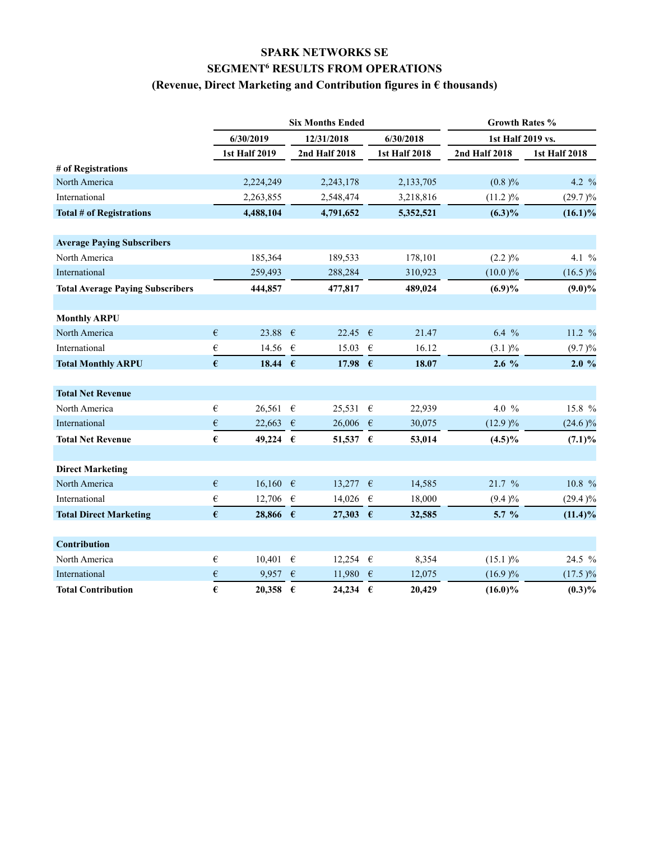## **SPARK NETWORKS SE SEGMENT6 RESULTS FROM OPERATIONS**

### **(Revenue, Direct Marketing and Contribution figures in € thousands)**

|                                         |            | <b>Six Months Ended</b> |            |                   | Growth Rates % |                      |                   |                      |
|-----------------------------------------|------------|-------------------------|------------|-------------------|----------------|----------------------|-------------------|----------------------|
|                                         |            | 6/30/2019               |            | 12/31/2018        |                | 6/30/2018            | 1st Half 2019 vs. |                      |
|                                         |            | <b>1st Half 2019</b>    |            | 2nd Half 2018     |                | <b>1st Half 2018</b> | 2nd Half 2018     | <b>1st Half 2018</b> |
| # of Registrations                      |            |                         |            |                   |                |                      |                   |                      |
| North America                           |            | 2,224,249               |            | 2,243,178         |                | 2,133,705            | (0.8)%            | 4.2 %                |
| International                           |            | 2,263,855               |            | 2,548,474         |                | 3,218,816            | (11.2)%           | $(29.7)\%$           |
| <b>Total # of Registrations</b>         |            | 4,488,104               |            | 4,791,652         |                | 5,352,521            | $(6.3)\%$         | $(16.1)\%$           |
|                                         |            |                         |            |                   |                |                      |                   |                      |
| <b>Average Paying Subscribers</b>       |            |                         |            |                   |                |                      |                   |                      |
| North America                           |            | 185,364                 |            | 189,533           |                | 178,101              | (2.2)%            | 4.1 %                |
| International                           |            | 259,493                 |            | 288,284           |                | 310,923              | (10.0)%           | $(16.5)\%$           |
| <b>Total Average Paying Subscribers</b> |            | 444,857                 |            | 477,817           |                | 489,024              | $(6.9)\%$         | $(9.0)\%$            |
|                                         |            |                         |            |                   |                |                      |                   |                      |
| <b>Monthly ARPU</b>                     |            |                         |            |                   |                |                      |                   |                      |
| North America                           | $\epsilon$ | 23.88                   | $\epsilon$ | 22.45             | $\epsilon$     | 21.47                | $6.4\%$           | 11.2 %               |
| International                           | €          | 14.56 $€$               |            | 15.03             | $\epsilon$     | 16.12                | (3.1)%            | (9.7)%               |
| <b>Total Monthly ARPU</b>               | $\epsilon$ | 18.44 $\epsilon$        |            | 17.98 $\epsilon$  |                | 18.07                | $2.6\%$           | 2.0%                 |
|                                         |            |                         |            |                   |                |                      |                   |                      |
| <b>Total Net Revenue</b>                |            |                         |            |                   |                |                      |                   |                      |
| North America                           | $\in$      | 26,561 $\in$            |            | 25,531            | $\epsilon$     | 22,939               | 4.0 $%$           | 15.8 %               |
| International                           | $\epsilon$ | 22,663                  | $\epsilon$ | 26,006            | $\epsilon$     | 30,075               | (12.9)%           | $(24.6)\%$           |
| <b>Total Net Revenue</b>                | $\epsilon$ | 49,224 $\epsilon$       |            | 51,537 $\epsilon$ |                | 53,014               | $(4.5)\%$         | $(7.1)\%$            |
|                                         |            |                         |            |                   |                |                      |                   |                      |
| <b>Direct Marketing</b>                 |            |                         |            |                   |                |                      |                   |                      |
| North America                           | $\epsilon$ | 16,160 €                |            | 13,277            | $\epsilon$     | 14,585               | 21.7 %            | 10.8 %               |
| International                           | €          | 12,706 €                |            | 14,026            | $\epsilon$     | 18,000               | (9.4)%            | $(29.4)\%$           |
| <b>Total Direct Marketing</b>           | $\epsilon$ | 28,866 $\epsilon$       |            | 27,303            | $-\epsilon$    | 32,585               | $5.7\%$           | $(11.4)\%$           |
|                                         |            |                         |            |                   |                |                      |                   |                      |
| Contribution                            |            |                         |            |                   |                |                      |                   |                      |
| North America                           | €          | 10,401 €                |            | 12,254            | $\epsilon$     | 8,354                | $(15.1)$ %        | 24.5 %               |
| International                           | €          | 9,957                   | $\epsilon$ | 11,980            | €              | 12,075               | $(16.9)\%$        | $(17.5)\%$           |
| <b>Total Contribution</b>               | €          | 20,358                  | $\epsilon$ | 24,234            | $\epsilon$     | 20.429               | $(16.0)\%$        | $(0.3)\%$            |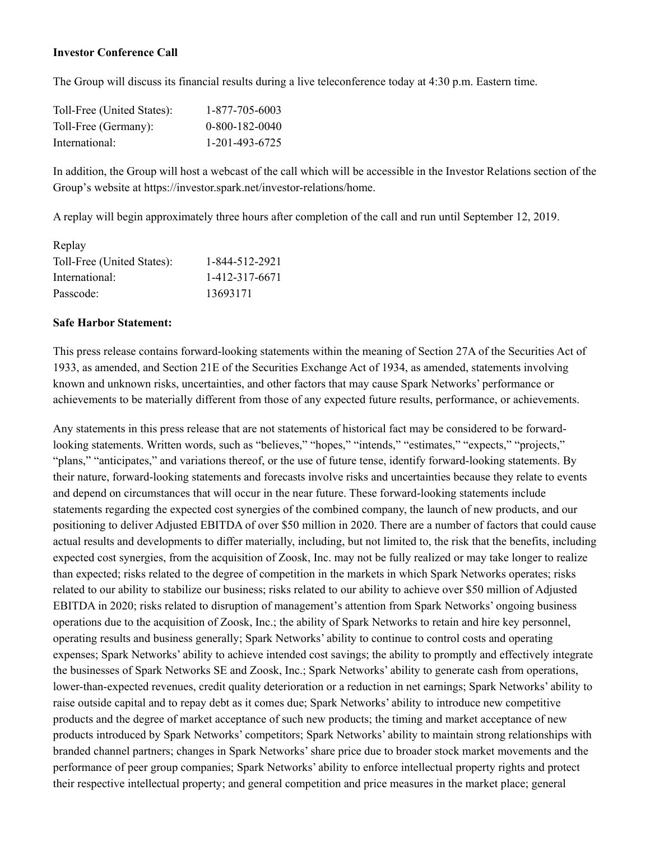#### **Investor Conference Call**

The Group will discuss its financial results during a live teleconference today at 4:30 p.m. Eastern time.

| Toll-Free (United States): | 1-877-705-6003   |
|----------------------------|------------------|
| Toll-Free (Germany):       | $0-800-182-0040$ |
| International:             | 1-201-493-6725   |

In addition, the Group will host a webcast of the call which will be accessible in the Investor Relations section of the Group's website at https://investor.spark.net/investor-relations/home.

A replay will begin approximately three hours after completion of the call and run until September 12, 2019.

| Replay                     |                |
|----------------------------|----------------|
| Toll-Free (United States): | 1-844-512-2921 |
| International:             | 1-412-317-6671 |
| Passcode:                  | 13693171       |

#### **Safe Harbor Statement:**

This press release contains forward-looking statements within the meaning of Section 27A of the Securities Act of 1933, as amended, and Section 21E of the Securities Exchange Act of 1934, as amended, statements involving known and unknown risks, uncertainties, and other factors that may cause Spark Networks' performance or achievements to be materially different from those of any expected future results, performance, or achievements.

Any statements in this press release that are not statements of historical fact may be considered to be forwardlooking statements. Written words, such as "believes," "hopes," "intends," "estimates," "expects," "projects," "plans," "anticipates," and variations thereof, or the use of future tense, identify forward-looking statements. By their nature, forward-looking statements and forecasts involve risks and uncertainties because they relate to events and depend on circumstances that will occur in the near future. These forward-looking statements include statements regarding the expected cost synergies of the combined company, the launch of new products, and our positioning to deliver Adjusted EBITDA of over \$50 million in 2020. There are a number of factors that could cause actual results and developments to differ materially, including, but not limited to, the risk that the benefits, including expected cost synergies, from the acquisition of Zoosk, Inc. may not be fully realized or may take longer to realize than expected; risks related to the degree of competition in the markets in which Spark Networks operates; risks related to our ability to stabilize our business; risks related to our ability to achieve over \$50 million of Adjusted EBITDA in 2020; risks related to disruption of management's attention from Spark Networks' ongoing business operations due to the acquisition of Zoosk, Inc.; the ability of Spark Networks to retain and hire key personnel, operating results and business generally; Spark Networks' ability to continue to control costs and operating expenses; Spark Networks' ability to achieve intended cost savings; the ability to promptly and effectively integrate the businesses of Spark Networks SE and Zoosk, Inc.; Spark Networks' ability to generate cash from operations, lower-than-expected revenues, credit quality deterioration or a reduction in net earnings; Spark Networks' ability to raise outside capital and to repay debt as it comes due; Spark Networks' ability to introduce new competitive products and the degree of market acceptance of such new products; the timing and market acceptance of new products introduced by Spark Networks' competitors; Spark Networks' ability to maintain strong relationships with branded channel partners; changes in Spark Networks' share price due to broader stock market movements and the performance of peer group companies; Spark Networks' ability to enforce intellectual property rights and protect their respective intellectual property; and general competition and price measures in the market place; general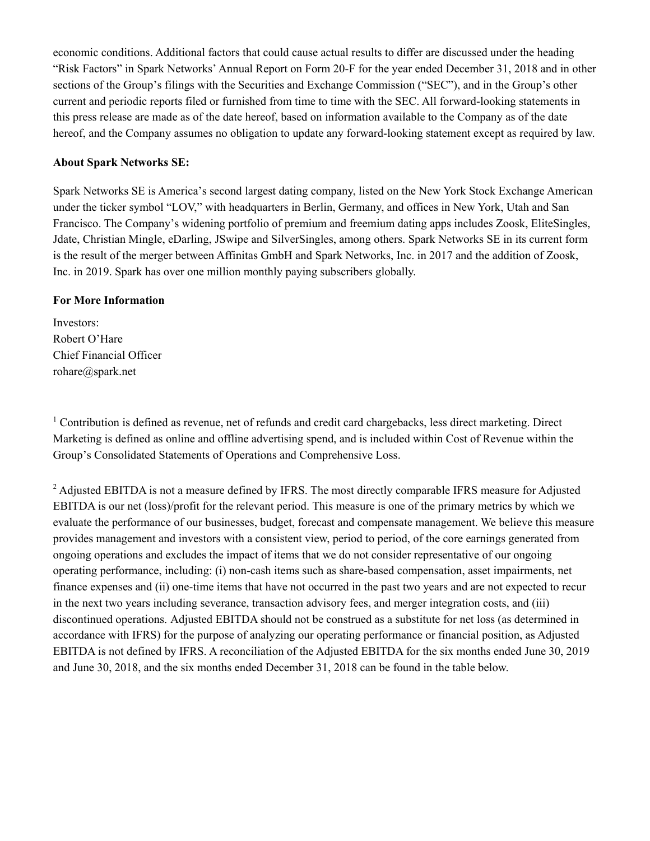economic conditions. Additional factors that could cause actual results to differ are discussed under the heading "Risk Factors" in Spark Networks' Annual Report on Form 20-F for the year ended December 31, 2018 and in other sections of the Group's filings with the Securities and Exchange Commission ("SEC"), and in the Group's other current and periodic reports filed or furnished from time to time with the SEC. All forward-looking statements in this press release are made as of the date hereof, based on information available to the Company as of the date hereof, and the Company assumes no obligation to update any forward-looking statement except as required by law.

#### **About Spark Networks SE:**

Spark Networks SE is America's second largest dating company, listed on the New York Stock Exchange American under the ticker symbol "LOV," with headquarters in Berlin, Germany, and offices in New York, Utah and San Francisco. The Company's widening portfolio of premium and freemium dating apps includes Zoosk, EliteSingles, Jdate, Christian Mingle, eDarling, JSwipe and SilverSingles, among others. Spark Networks SE in its current form is the result of the merger between Affinitas GmbH and Spark Networks, Inc. in 2017 and the addition of Zoosk, Inc. in 2019. Spark has over one million monthly paying subscribers globally.

#### **For More Information**

Investors: Robert O'Hare Chief Financial Officer rohare@spark.net

<sup>1</sup> Contribution is defined as revenue, net of refunds and credit card chargebacks, less direct marketing. Direct Marketing is defined as online and offline advertising spend, and is included within Cost of Revenue within the Group's Consolidated Statements of Operations and Comprehensive Loss.

<sup>2</sup> Adjusted EBITDA is not a measure defined by IFRS. The most directly comparable IFRS measure for Adjusted EBITDA is our net (loss)/profit for the relevant period. This measure is one of the primary metrics by which we evaluate the performance of our businesses, budget, forecast and compensate management. We believe this measure provides management and investors with a consistent view, period to period, of the core earnings generated from ongoing operations and excludes the impact of items that we do not consider representative of our ongoing operating performance, including: (i) non-cash items such as share-based compensation, asset impairments, net finance expenses and (ii) one-time items that have not occurred in the past two years and are not expected to recur in the next two years including severance, transaction advisory fees, and merger integration costs, and (iii) discontinued operations. Adjusted EBITDA should not be construed as a substitute for net loss (as determined in accordance with IFRS) for the purpose of analyzing our operating performance or financial position, as Adjusted EBITDA is not defined by IFRS. A reconciliation of the Adjusted EBITDA for the six months ended June 30, 2019 and June 30, 2018, and the six months ended December 31, 2018 can be found in the table below.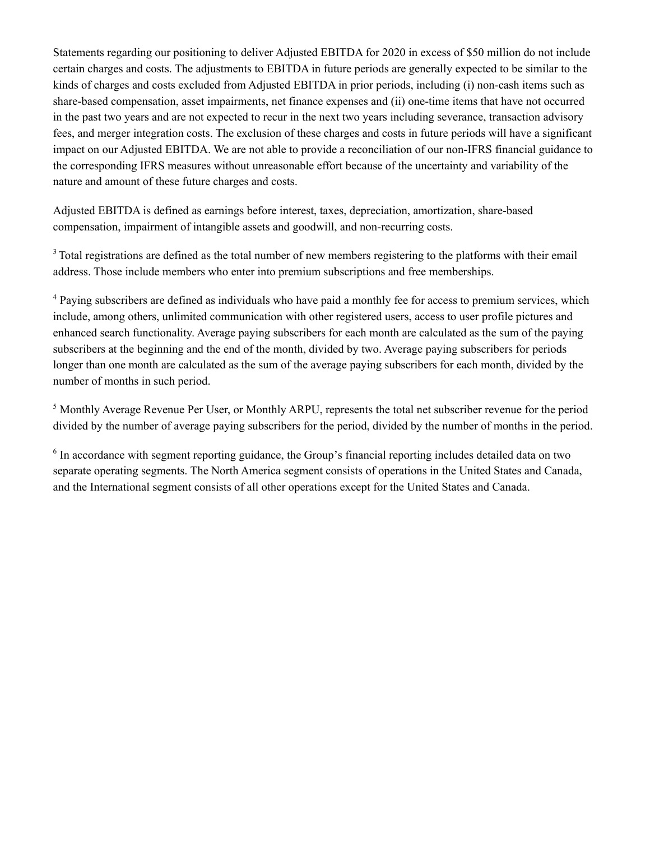Statements regarding our positioning to deliver Adjusted EBITDA for 2020 in excess of \$50 million do not include certain charges and costs. The adjustments to EBITDA in future periods are generally expected to be similar to the kinds of charges and costs excluded from Adjusted EBITDA in prior periods, including (i) non-cash items such as share-based compensation, asset impairments, net finance expenses and (ii) one-time items that have not occurred in the past two years and are not expected to recur in the next two years including severance, transaction advisory fees, and merger integration costs. The exclusion of these charges and costs in future periods will have a significant impact on our Adjusted EBITDA. We are not able to provide a reconciliation of our non-IFRS financial guidance to the corresponding IFRS measures without unreasonable effort because of the uncertainty and variability of the nature and amount of these future charges and costs.

Adjusted EBITDA is defined as earnings before interest, taxes, depreciation, amortization, share-based compensation, impairment of intangible assets and goodwill, and non-recurring costs.

<sup>3</sup> Total registrations are defined as the total number of new members registering to the platforms with their email address. Those include members who enter into premium subscriptions and free memberships.

<sup>4</sup> Paying subscribers are defined as individuals who have paid a monthly fee for access to premium services, which include, among others, unlimited communication with other registered users, access to user profile pictures and enhanced search functionality. Average paying subscribers for each month are calculated as the sum of the paying subscribers at the beginning and the end of the month, divided by two. Average paying subscribers for periods longer than one month are calculated as the sum of the average paying subscribers for each month, divided by the number of months in such period.

<sup>5</sup> Monthly Average Revenue Per User, or Monthly ARPU, represents the total net subscriber revenue for the period divided by the number of average paying subscribers for the period, divided by the number of months in the period.

<sup>6</sup> In accordance with segment reporting guidance, the Group's financial reporting includes detailed data on two separate operating segments. The North America segment consists of operations in the United States and Canada, and the International segment consists of all other operations except for the United States and Canada.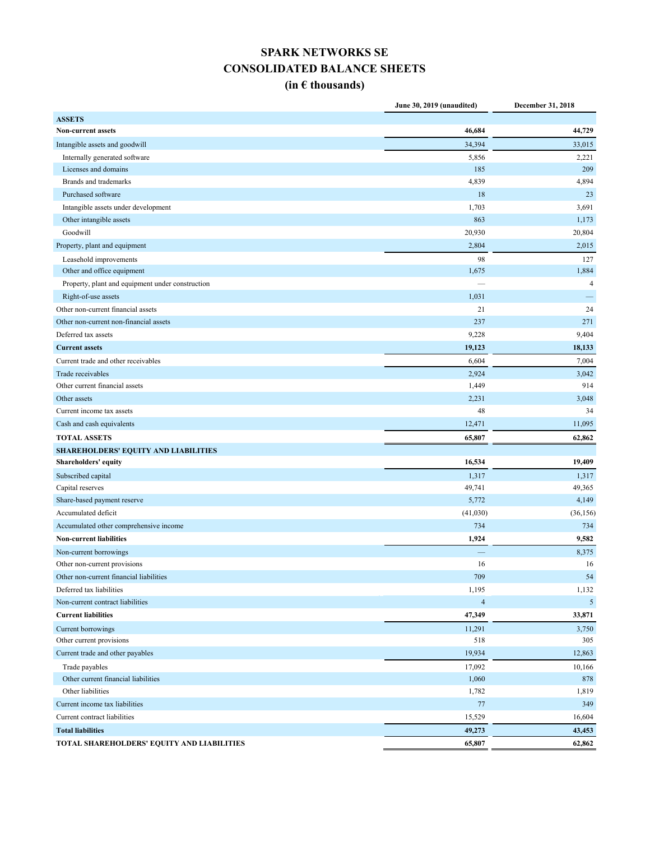# **SPARK NETWORKS SE CONSOLIDATED BALANCE SHEETS**

## **(in € thousands)**

|                                                  | June 30, 2019 (unaudited) | December 31, 2018 |
|--------------------------------------------------|---------------------------|-------------------|
| <b>ASSETS</b>                                    |                           |                   |
| <b>Non-current assets</b>                        | 46,684                    | 44,729            |
| Intangible assets and goodwill                   | 34,394                    | 33,015            |
| Internally generated software                    | 5,856                     | 2,221             |
| Licenses and domains                             | 185                       | 209               |
| <b>Brands and trademarks</b>                     | 4,839                     | 4,894             |
| Purchased software                               | 18                        | 23                |
| Intangible assets under development              | 1,703                     | 3,691             |
| Other intangible assets                          | 863                       | 1,173             |
| Goodwill                                         | 20,930                    | 20,804            |
| Property, plant and equipment                    | 2,804                     | 2,015             |
| Leasehold improvements                           | 98                        | 127               |
| Other and office equipment                       | 1,675                     | 1,884             |
| Property, plant and equipment under construction |                           | $\overline{4}$    |
| Right-of-use assets                              | 1,031                     |                   |
| Other non-current financial assets               | 21                        | 24                |
| Other non-current non-financial assets           | 237                       | 271               |
| Deferred tax assets                              | 9,228                     | 9,404             |
| <b>Current assets</b>                            | 19,123                    | 18,133            |
| Current trade and other receivables              | 6,604                     | 7,004             |
| Trade receivables                                | 2,924                     | 3,042             |
| Other current financial assets                   | 1,449                     | 914               |
| Other assets                                     | 2,231                     | 3,048             |
| Current income tax assets                        | 48                        | 34                |
| Cash and cash equivalents                        | 12,471                    | 11,095            |
| <b>TOTAL ASSETS</b>                              | 65,807                    | 62,862            |
| <b>SHAREHOLDERS' EQUITY AND LIABILITIES</b>      |                           |                   |
| Shareholders' equity                             | 16,534                    | 19,409            |
| Subscribed capital                               | 1,317                     | 1,317             |
| Capital reserves                                 | 49,741                    | 49,365            |
| Share-based payment reserve                      | 5,772                     | 4,149             |
| Accumulated deficit                              | (41,030)                  | (36, 156)         |
| Accumulated other comprehensive income           | 734                       | 734               |
| <b>Non-current liabilities</b>                   | 1,924                     | 9,582             |
| Non-current borrowings                           |                           | 8,375             |
| Other non-current provisions                     | 16                        | 16                |
| Other non-current financial liabilities          | 709                       | 54                |
| Deferred tax liabilities                         | 1,195                     | 1,132             |
| Non-current contract liabilities                 | $\overline{4}$            | $5\overline{)}$   |
| <b>Current liabilities</b>                       | 47,349                    | 33,871            |
| Current borrowings                               | 11,291                    | 3,750             |
| Other current provisions                         | 518                       | 305               |
| Current trade and other payables                 | 19,934                    | 12,863            |
| Trade payables                                   | 17,092                    | 10,166            |
| Other current financial liabilities              | 1,060                     | 878               |
| Other liabilities                                | 1,782                     | 1,819             |
| Current income tax liabilities                   | 77                        | 349               |
| Current contract liabilities                     | 15,529                    | 16,604            |
| <b>Total liabilities</b>                         | 49,273                    | 43,453            |
| TOTAL SHAREHOLDERS' EQUITY AND LIABILITIES       | 65,807                    | 62,862            |
|                                                  |                           |                   |